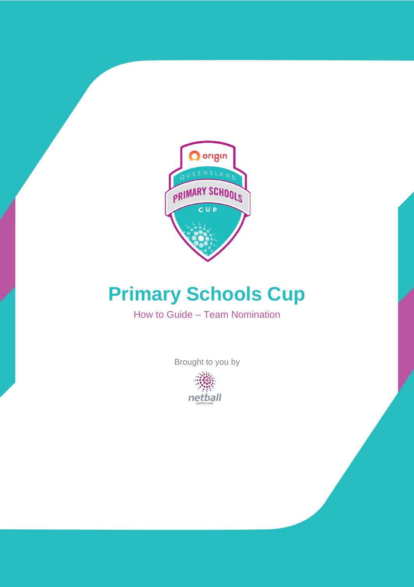

# **Primary Schools Cup**

How to Guide – Team Nomination

Brought to you by

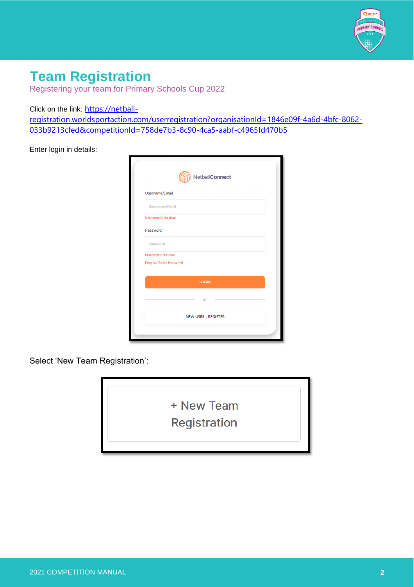

## **Team Registration**

Registering your team for Primary Schools Cup 2022

Click on the link: [https://netball-](https://netball-registration.worldsportaction.com/userregistration?organisationId=1846e09f-4a6d-4bfc-8062-033b9213cfed&competitionId=758de7b3-8c90-4ca5-aabf-c4965fd470b5)

[registration.worldsportaction.com/userregistration?organisationId=1846e09f-4a6d-4bfc-8062-](https://netball-registration.worldsportaction.com/userregistration?organisationId=1846e09f-4a6d-4bfc-8062-033b9213cfed&competitionId=758de7b3-8c90-4ca5-aabf-c4965fd470b5) [033b9213cfed&competitionId=758de7b3-8c90-4ca5-aabf-c4965fd470b5](https://netball-registration.worldsportaction.com/userregistration?organisationId=1846e09f-4a6d-4bfc-8062-033b9213cfed&competitionId=758de7b3-8c90-4ca5-aabf-c4965fd470b5)

Enter login in details:

| Username/Email         |              |
|------------------------|--------------|
| Username/Email         |              |
| Username is required   |              |
| Password               |              |
| Password               |              |
| Password is required   |              |
| Forgot/ Reset Password |              |
|                        |              |
|                        | <b>LOGIN</b> |
|                        | or           |
|                        |              |

Select 'New Team Registration':

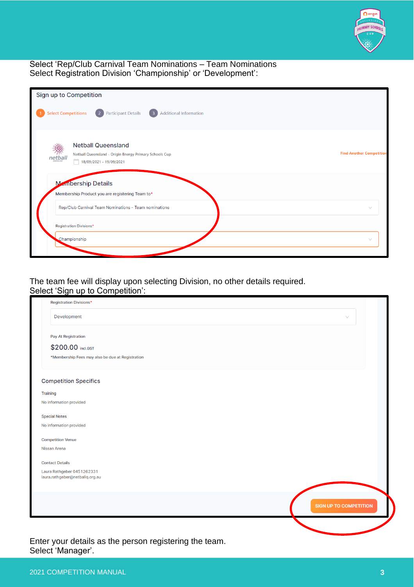

#### Select 'Rep/Club Carnival Team Nominations – Team Nominations Select Registration Division 'Championship' or 'Development':

| Sign up to Competition                                                                                         |                                 |
|----------------------------------------------------------------------------------------------------------------|---------------------------------|
| 2 Participant Details<br><b>Select Competitions</b><br><b>Additional Information</b><br>$\sqrt{3}$             |                                 |
| <b>Netball Queensland</b><br>Netball Queensland - Origin Energy Primary Schools Cup<br>18/09/2021 - 19/09/2021 | <b>Find Another Competition</b> |
| Manbership Details<br>Membership Product you are registering Team to*                                          |                                 |
| Rep/Club Carnival Team Nominations - Team nominations<br><b>Registration Divisions*</b>                        | $\vee$                          |
| Championship                                                                                                   | $\vee$                          |

The team fee will display upon selecting Division, no other details required. Select 'Sign up to Competition':

| $\vee$                        |
|-------------------------------|
|                               |
|                               |
|                               |
|                               |
|                               |
|                               |
|                               |
|                               |
|                               |
|                               |
|                               |
|                               |
|                               |
| <b>SIGN UP TO COMPETITION</b> |
|                               |

Select 'Manager'.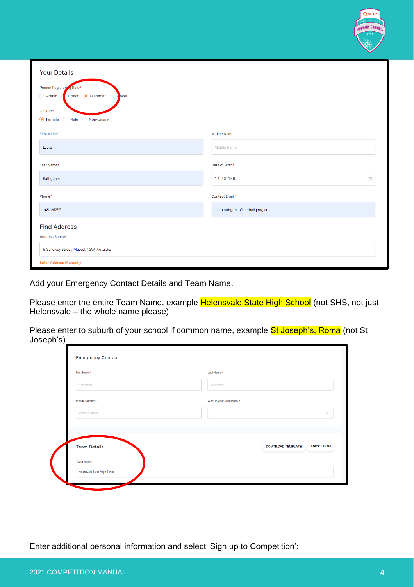|                                                                        |                                 | w |
|------------------------------------------------------------------------|---------------------------------|---|
| <b>Your Details</b>                                                    |                                 |   |
| Person Registering Role*                                               |                                 |   |
| $\bigcirc$ Admin<br><b>Manager</b><br>Coach<br><b>F</b> ayer<br>$\cup$ |                                 |   |
| Gender*                                                                |                                 |   |
| <b>●</b> Female<br>◯ Non-binary<br>Male<br>( )                         |                                 |   |
| First Name*                                                            | <b>Middle Name</b>              |   |
| Laura                                                                  | <b>Middle Name</b>              |   |
| Last Name*                                                             | Date of Birth*                  |   |
| Rathgeber                                                              | 14-10-1995                      | 自 |
| Phone*                                                                 | <b>Contact Email*</b>           |   |
| 1451262331                                                             | laura.rathgeber@netballq.org.au |   |
| <b>Find Address</b>                                                    |                                 |   |
| <b>Address Search</b>                                                  |                                 |   |
| 6 Galloway Street, Mascot NSW, Australia                               |                                 |   |
| <b>Enter Address Manually</b>                                          |                                 |   |

Add your Emergency Contact Details and Team Name.

Please enter the entire Team Name, example Helensvale State High School (not SHS, not just Helensvale – the whole name please)

Please enter to suburb of your school if common name, example St Joseph's, Roma (not St Joseph's)

| First Name*         | Last Name*                                     |
|---------------------|------------------------------------------------|
| <b>First Name</b>   | <b>Last Name</b>                               |
| Mobile Number*      | What is your Relationship?                     |
| Mobile Number       |                                                |
| <b>Team Details</b> | <b>DOWNLOAD TEMPLATE</b><br><b>IMPORT TEAM</b> |
| Team Name*          |                                                |
|                     |                                                |

Enter additional personal information and select 'Sign up to Competition':

O origin **IMARY SCHO**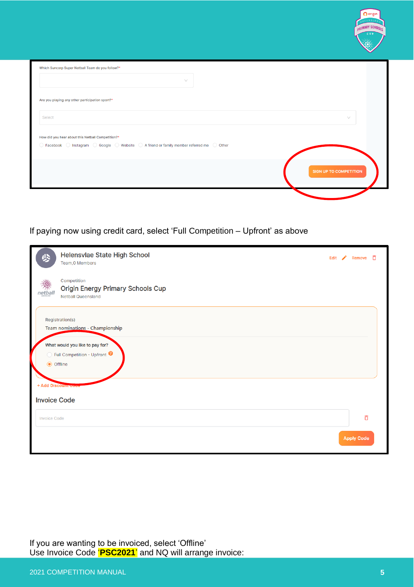|                                                                                                                                                                                                      | <b>CONT</b>                   |
|------------------------------------------------------------------------------------------------------------------------------------------------------------------------------------------------------|-------------------------------|
| Which Suncorp Super Netball Team do you follow?*                                                                                                                                                     |                               |
| $\vee$                                                                                                                                                                                               |                               |
| Are you playing any other participation sport?*                                                                                                                                                      |                               |
| Select                                                                                                                                                                                               | $\vee$                        |
| How did you hear about this Netball Competition?*<br>$\bigcirc$ Facebook $\bigcirc$ Instagram $\bigcirc$ Google $\bigcirc$ Website $\bigcirc$ A friend or family member referred me $\bigcirc$ Other |                               |
|                                                                                                                                                                                                      | <b>SIGN UP TO COMPETITION</b> |
|                                                                                                                                                                                                      |                               |

### If paying now using credit card, select 'Full Competition – Upfront' as above

|                     | Helensvlae State High School<br>Team, 0 Members                                      | Edit $\sqrt{ }$ | Remove            | - ក |
|---------------------|--------------------------------------------------------------------------------------|-----------------|-------------------|-----|
|                     | Competition<br><b>Origin Energy Primary Schools Cup</b><br><b>Netball Queensland</b> |                 |                   |     |
|                     | Registration(s)<br>Team nominations - Championship                                   |                 |                   |     |
| <b>◎</b> Offline    | What would you like to pay for?<br>◯ Full Competition - Upfront <sup>●</sup>         |                 |                   |     |
| <b>Invoice Code</b> | + Add Discount Code                                                                  |                 |                   |     |
| <b>Invoice Code</b> |                                                                                      |                 | Õ                 |     |
|                     |                                                                                      |                 | <b>Apply Code</b> |     |

If you are wanting to be invoiced, select 'Offline' Use Invoice Code '**PSC2021**' and NQ will arrange invoice: **O** origin **JARY SCH**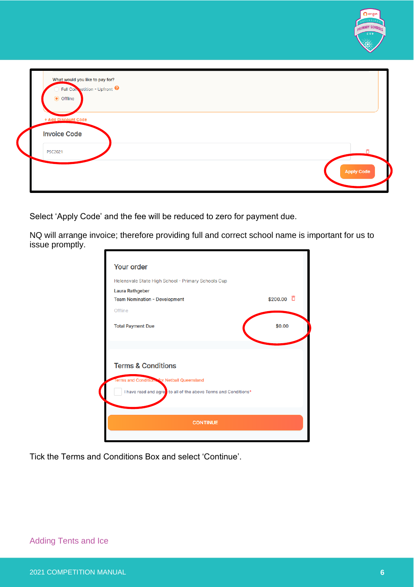

Select 'Apply Code' and the fee will be reduced to zero for payment due.

NQ will arrange invoice; therefore providing full and correct school name is important for us to issue promptly.

| Helensvale State High School - Primary Schools Cup             |                    |
|----------------------------------------------------------------|--------------------|
| Laura Rathgeber<br><b>Team Nomination - Development</b>        | \$200.00 $\bar{D}$ |
| Offline                                                        |                    |
| <b>Total Payment Due</b>                                       | \$0.00             |
| <b>Terms &amp; Conditions</b>                                  |                    |
| Terms and Conditions for Netball Queensland                    |                    |
| I have read and agre to all of the above Terms and Conditions* |                    |
|                                                                |                    |

Tick the Terms and Conditions Box and select 'Continue'.

 $\overline{\phantom{a}}$ 

#### Adding Tents and Ice

O origin **IMARY SCHI**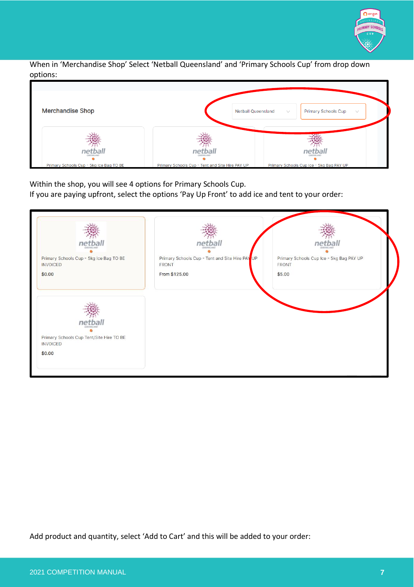

When in 'Merchandise Shop' Select 'Netball Queensland' and 'Primary Schools Cup' from drop down options:



Within the shop, you will see 4 options for Primary Schools Cup.

If you are paying upfront, select the options 'Pay Up Front' to add ice and tent to your order:

| net                                                                                      | ne                                                                        | ne                                                                 |
|------------------------------------------------------------------------------------------|---------------------------------------------------------------------------|--------------------------------------------------------------------|
| Primary Schools Cup - 5kg Ice Bag TO BE<br><b>INVOICED</b><br>\$0.00                     | Primary Schools Cup - Tent and Site Hire PAY UP<br>FRONT<br>From \$125.00 | Primary Schools Cup Ice - 5kg Bag PAY UP<br><b>FRONT</b><br>\$5.00 |
|                                                                                          |                                                                           |                                                                    |
| netb<br><b>OURTAGE AN</b><br>Primary Schools Cup Tent/Site Hire TO BE<br><b>INVOICED</b> |                                                                           |                                                                    |
| \$0.00                                                                                   |                                                                           |                                                                    |

Add product and quantity, select 'Add to Cart' and this will be added to your order: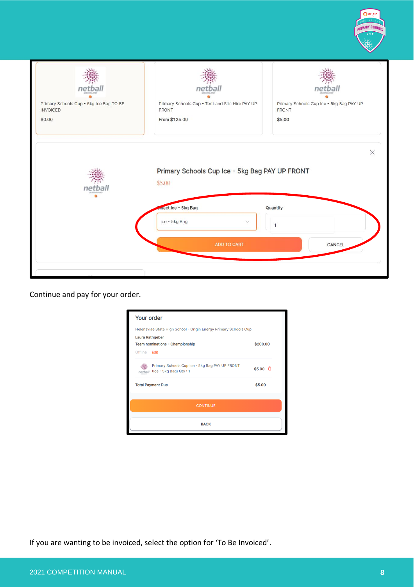

| $n\epsilon$<br>Primary Schools Cup - 5kg Ice Bag TO BE<br><b>INVOICED</b><br>\$0.00 | Primary Schools Cup - Tent and Site Hire PAY UP<br><b>FRONT</b><br>From \$125.00 | Primary Schools Cup Ice - 5kg Bag PAY UP<br>FRONT<br>\$5.00 |
|-------------------------------------------------------------------------------------|----------------------------------------------------------------------------------|-------------------------------------------------------------|
| п                                                                                   | Primary Schools Cup Ice - 5kg Bag PAY UP FRONT<br>\$5.00                         | $\times$                                                    |
|                                                                                     | elect Ice - 5kg Bag<br>Ice - 5kg Bag<br>$\checkmark$                             | Quantity<br>$\mathbf{1}$                                    |
|                                                                                     | ADD TO CART                                                                      | CANCEL                                                      |
|                                                                                     |                                                                                  |                                                             |

Continue and pay for your order.

| Your order             |                                                                                 |                        |  |  |
|------------------------|---------------------------------------------------------------------------------|------------------------|--|--|
|                        | Helensvlae State High School - Origin Energy Primary Schools Cup                |                        |  |  |
| <b>Laura Rathgeber</b> |                                                                                 |                        |  |  |
|                        | Team nominations - Championship                                                 | \$200.00               |  |  |
| Offline Edit           |                                                                                 |                        |  |  |
| netl                   | Primary Schools Cup Ice - 5kg Bag PAY UP FRONT<br>$($ lce - 5 $kg$ Bag) Qty : 1 | $$5.00$ $\overline{D}$ |  |  |
|                        | <b>Total Payment Due</b>                                                        | \$5.00                 |  |  |
|                        | <b>CONTINUE</b>                                                                 |                        |  |  |
|                        | <b>BACK</b>                                                                     |                        |  |  |

If you are wanting to be invoiced, select the option for 'To Be Invoiced'.